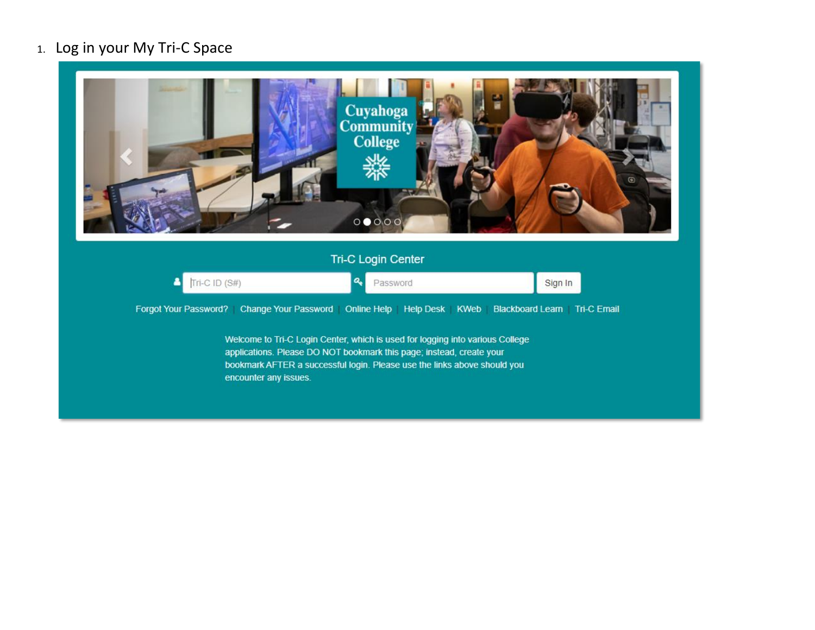## 1. Log in your My Tri-C Space

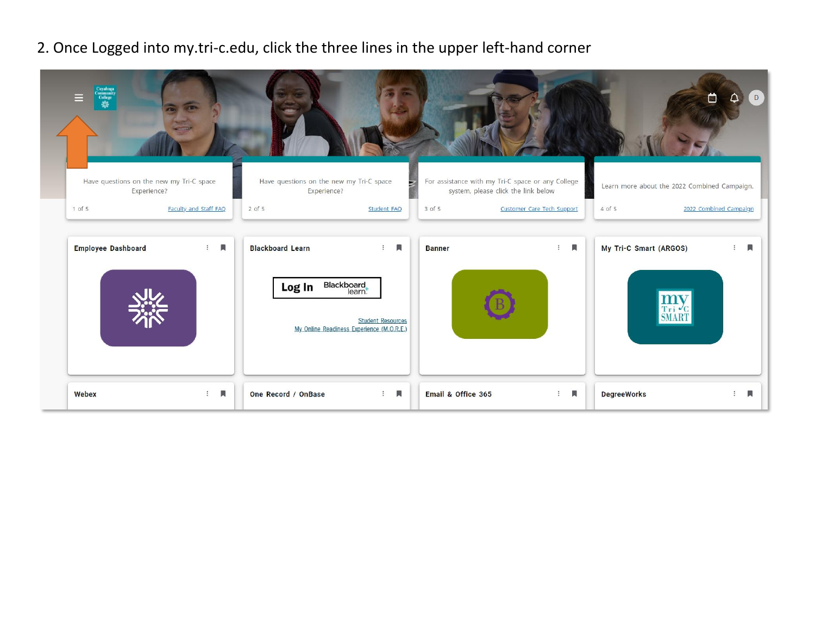## 2. Once Logged into my.tri-c.edu, click the three lines in the upper left-hand corner

| Cuyahoga<br>Community<br>College<br>Sig                           |                                     |                                                                                                        |                                           |                    |                                                                                                                        |                            |                        | D                                                                      |
|-------------------------------------------------------------------|-------------------------------------|--------------------------------------------------------------------------------------------------------|-------------------------------------------|--------------------|------------------------------------------------------------------------------------------------------------------------|----------------------------|------------------------|------------------------------------------------------------------------|
| Have questions on the new my Tri-C space<br>Experience?<br>1 of 5 | Faculty and Staff FAQ<br>$2$ of $5$ | Have questions on the new my Tri-C space<br>Experience?                                                | Student FAQ                               | 3 of 5             | For assistance with my Tri-C space or any College<br>system, please click the link below<br>Customer Care Tech Support |                            | 4 of 5                 | Learn more about the 2022 Combined Campaign.<br>2022 Combined Campaign |
| <b>Employee Dashboard</b>                                         | 興<br>$\ddot{\ddot{\cdot}}$          | <b>Blackboard Learn</b><br>Blackboard<br>learn:<br>Log In<br>My Online Readiness Experience (M.O.R.E.) | 圓<br>$\vdots$<br><b>Student Resources</b> | <b>Banner</b>      | $\ddot{z}$                                                                                                             | 員                          | My Tri-C Smart (ARGOS) | 圓                                                                      |
| Webex                                                             | 圓<br>$\pm$                          | One Record / OnBase                                                                                    | Д<br>$\ddot{z}$                           | Email & Office 365 |                                                                                                                        | $\blacksquare$<br>$\vdots$ | <b>DegreeWorks</b>     | П<br>÷                                                                 |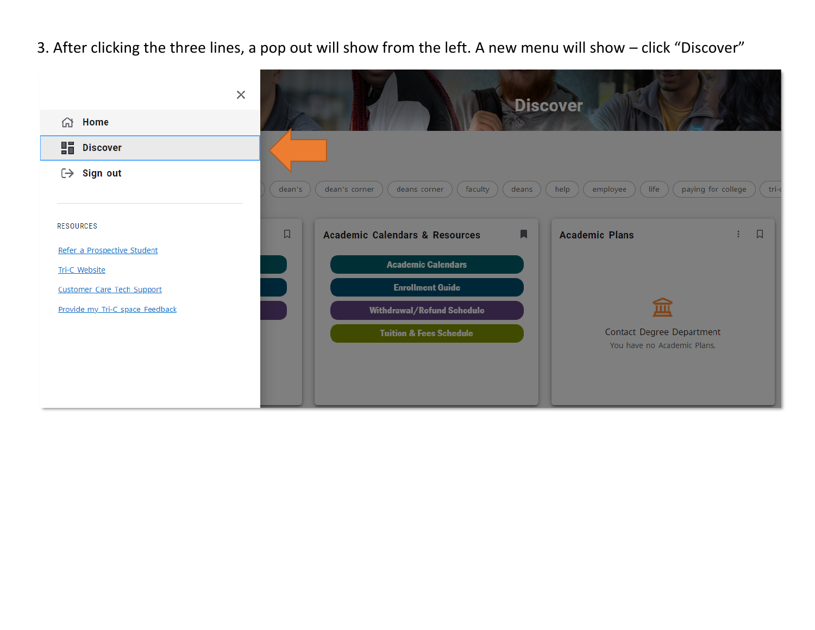3. After clicking the three lines, a pop out will show from the left. A new menu will show – click "Discover"

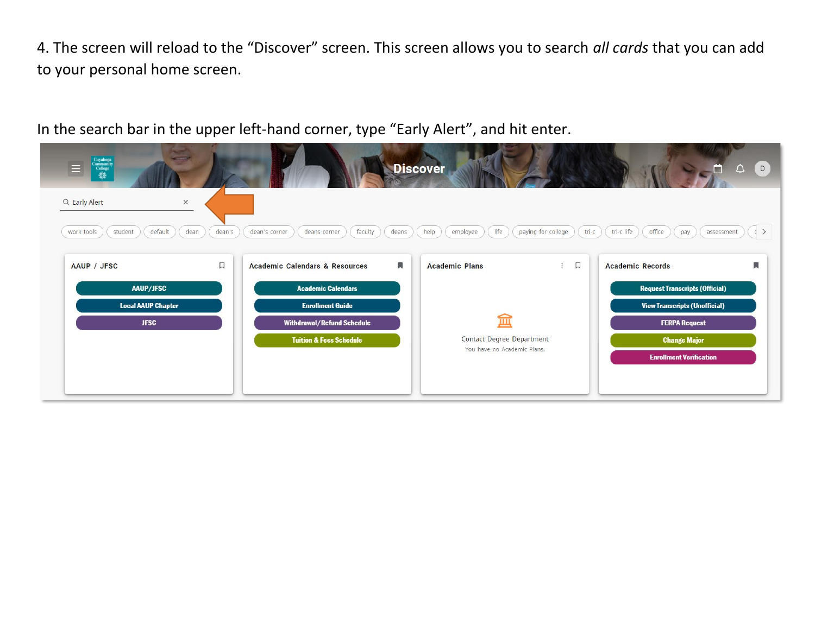4. The screen will reload to the "Discover" screen. This screen allows you to search *all cards* that you can add to your personal home screen.

In the search bar in the upper left-hand corner, type "Early Alert", and hit enter.

| $\begin{tabular}{c} Cuyahoga \\ \hline Community \\ College \\ \hline \end{tabular}$<br>Ξ |                                                   | <b>Discover</b>                                          | (D)<br>m<br>$\triangle$                                                   |
|-------------------------------------------------------------------------------------------|---------------------------------------------------|----------------------------------------------------------|---------------------------------------------------------------------------|
| Q Early Alert<br>$\times$                                                                 |                                                   |                                                          |                                                                           |
| default<br>student<br>dean<br>work tools<br>dean's                                        | dean's corner<br>deans<br>deans corner<br>faculty | life<br>help<br>paying for college<br>employee           | tri-c<br>tri-c life<br>office<br>$\langle$ $\rangle$<br>pay<br>assessment |
| $\Box$<br>AAUP / JFSC                                                                     | 圓<br><b>Academic Calendars &amp; Resources</b>    | $\Box$<br>$\ddot{z}$<br><b>Academic Plans</b>            | 興<br><b>Academic Records</b>                                              |
| AAUP/JFSC                                                                                 | <b>Academic Calendars</b>                         |                                                          | <b>Request Transcripts (Official)</b>                                     |
| <b>Local AAUP Chapter</b>                                                                 | <b>Enrollment Guide</b>                           |                                                          | <b>View Transcripts (Unofficial)</b>                                      |
| <b>JFSC</b>                                                                               | Withdrawal/Refund Schedule                        | 血                                                        | <b>FERPA Request</b>                                                      |
|                                                                                           | <b>Tuition &amp; Fees Schedule</b>                | Contact Degree Department<br>You have no Academic Plans. | <b>Change Major</b>                                                       |
|                                                                                           |                                                   |                                                          | <b>Enrollment Verification</b>                                            |
|                                                                                           |                                                   |                                                          |                                                                           |
|                                                                                           |                                                   |                                                          |                                                                           |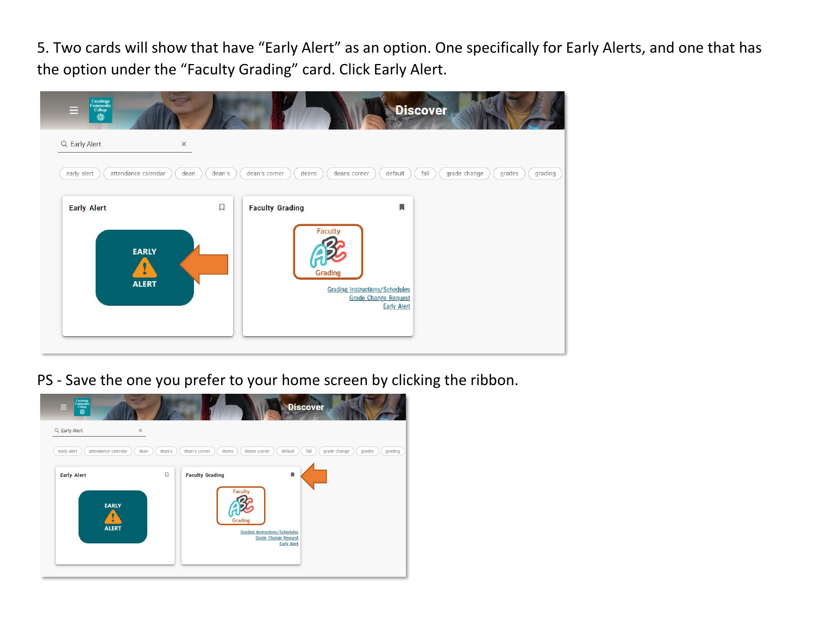5. Two cards will show that have "Early Alert" as an option. One specifically for Early Alerts, and one that has the option under the "Faculty Grading" card. Click Early Alert.



PS - Save the one you prefer to your home screen by clicking the ribbon.

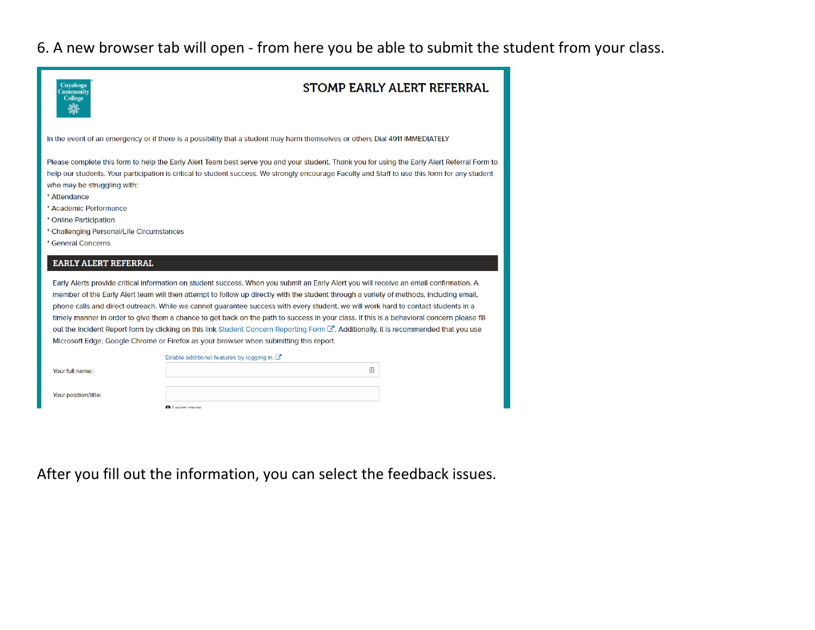## 6. A new browser tab will open - from here you be able to submit the student from your class.

| Cuyahoga<br>Community<br><b>College</b>                                                                                                                            | <b>STOMP EARLY ALERT REFERRAL</b>                                                                                                                                                                                                                                                                                                                                                                                                                                                                                                                                                                                                                                                                                                                                                                    |
|--------------------------------------------------------------------------------------------------------------------------------------------------------------------|------------------------------------------------------------------------------------------------------------------------------------------------------------------------------------------------------------------------------------------------------------------------------------------------------------------------------------------------------------------------------------------------------------------------------------------------------------------------------------------------------------------------------------------------------------------------------------------------------------------------------------------------------------------------------------------------------------------------------------------------------------------------------------------------------|
|                                                                                                                                                                    | In the event of an emergency or if there is a possibility that a student may harm themselves or others Dial 4911 IMMEDIATELY                                                                                                                                                                                                                                                                                                                                                                                                                                                                                                                                                                                                                                                                         |
| who may be struggling with:<br>* Attendance<br>* Academic Performance<br>* Online Participation<br>* Challenging Personal/Life Circumstances<br>* General Concerns | Please complete this form to help the Early Alert Team best serve you and your student. Thank you for using the Early Alert Referral Form to<br>help our students. Your participation is critical to student success. We strongly encourage Faculty and Staff to use this form for any student                                                                                                                                                                                                                                                                                                                                                                                                                                                                                                       |
| <b>EARLY ALERT REFERRAL</b>                                                                                                                                        |                                                                                                                                                                                                                                                                                                                                                                                                                                                                                                                                                                                                                                                                                                                                                                                                      |
|                                                                                                                                                                    | Early Alerts provide critical information on student success. When you submit an Early Alert you will receive an email confirmation. A<br>member of the Early Alert team will then attempt to follow up directly with the student through a variety of methods, including email,<br>phone calls and direct outreach. While we cannot quarantee success with every student, we will work hard to contact students in a<br>timely manner in order to give them a chance to get back on the path to success in your class. If this is a behavioral concern please fill<br>out the Incident Report form by clicking on this link Student Concern Reporting Form C. Additionally, it is recommended that you use<br>Microsoft Edge, Google Chrome or Firefox as your browser when submitting this report. |
|                                                                                                                                                                    | Enable additional features by logging in. C'                                                                                                                                                                                                                                                                                                                                                                                                                                                                                                                                                                                                                                                                                                                                                         |
| Your full name:                                                                                                                                                    | ▣                                                                                                                                                                                                                                                                                                                                                                                                                                                                                                                                                                                                                                                                                                                                                                                                    |
| Your position/title:                                                                                                                                               |                                                                                                                                                                                                                                                                                                                                                                                                                                                                                                                                                                                                                                                                                                                                                                                                      |
|                                                                                                                                                                    |                                                                                                                                                                                                                                                                                                                                                                                                                                                                                                                                                                                                                                                                                                                                                                                                      |

After you fill out the information, you can select the feedback issues.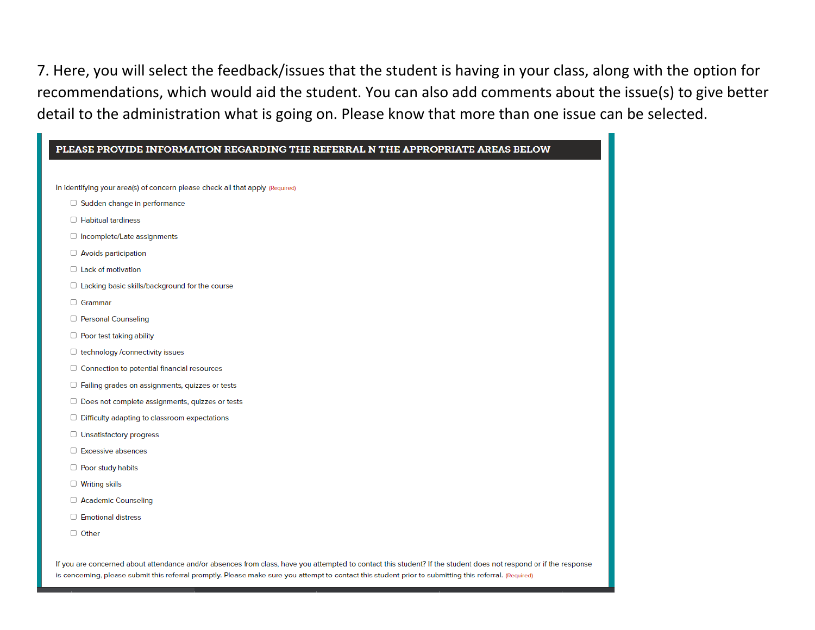7. Here, you will select the feedback/issues that the student is having in your class, along with the option for recommendations, which would aid the student. You can also add comments about the issue(s) to give better detail to the administration what is going on. Please know that more than one issue can be selected.

|                       | In identifying your area(s) of concern please check all that apply (Required) |
|-----------------------|-------------------------------------------------------------------------------|
|                       | $\Box$ Sudden change in performance                                           |
|                       | $\Box$ Habitual tardiness                                                     |
|                       | $\Box$ Incomplete/Late assignments                                            |
|                       | □ Avoids participation                                                        |
|                       | $\Box$ Lack of motivation                                                     |
|                       | $\Box$ Lacking basic skills/background for the course                         |
| □ Grammar             |                                                                               |
|                       | □ Personal Counseling                                                         |
|                       | □ Poor test taking ability                                                    |
|                       | □ technology /connectivity issues                                             |
|                       | $\Box$ Connection to potential financial resources                            |
|                       | □ Failing grades on assignments, quizzes or tests                             |
|                       | $\Box$ Does not complete assignments, quizzes or tests                        |
|                       | $\Box$ Difficulty adapting to classroom expectations                          |
|                       | □ Unsatisfactory progress                                                     |
|                       | □ Excessive absences                                                          |
| □ Poor study habits   |                                                                               |
| $\Box$ Writing skills |                                                                               |
|                       | □ Academic Counseling                                                         |
|                       | □ Emotional distress                                                          |
| $\Box$ Other          |                                                                               |

is concerning, please submit this referral promptly. Please make sure you attempt to contact this student prior to submitting this referral. (Required)